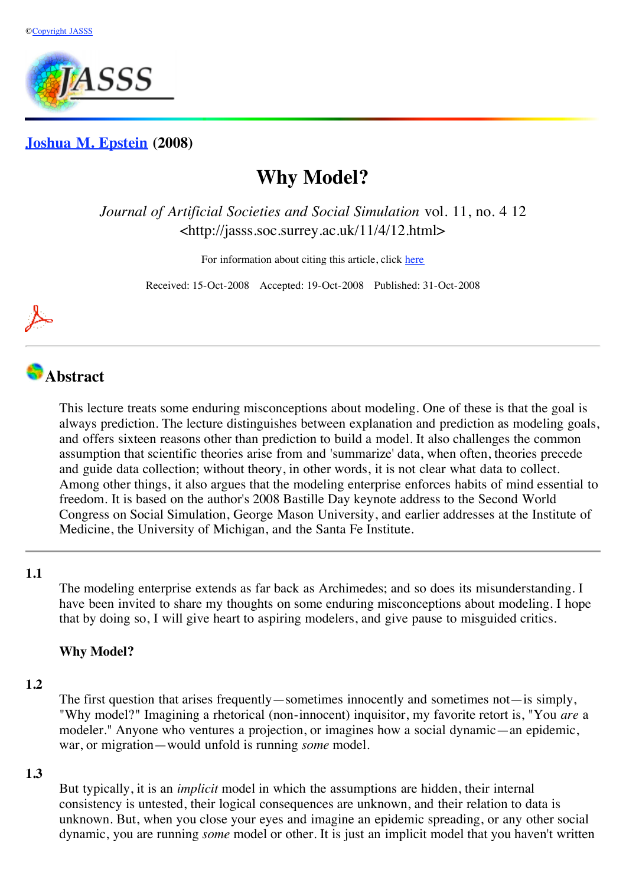

## **[Joshua M. Epstein](http://jasss.soc.surrey.ac.uk/11/4/12/epstein.html) (2008)**

# **Why Model?**

*Journal of Artificial Societies and Social Simulation* vol. 11, no. 4 12 <http://jasss.soc.surrey.ac.uk/11/4/12.html>

For information about citing this article, click [here](http://jasss.soc.surrey.ac.uk/11/4/12/citation.html)

Received: 15-Oct-2008 Accepted: 19-Oct-2008 Published: 31-Oct-2008



# **Abstract**

This lecture treats some enduring misconceptions about modeling. One of these is that the goal is always prediction. The lecture distinguishes between explanation and prediction as modeling goals, and offers sixteen reasons other than prediction to build a model. It also challenges the common assumption that scientific theories arise from and 'summarize' data, when often, theories precede and guide data collection; without theory, in other words, it is not clear what data to collect. Among other things, it also argues that the modeling enterprise enforces habits of mind essential to freedom. It is based on the author's 2008 Bastille Day keynote address to the Second World Congress on Social Simulation, George Mason University, and earlier addresses at the Institute of Medicine, the University of Michigan, and the Santa Fe Institute.

## **1.1**

The modeling enterprise extends as far back as Archimedes; and so does its misunderstanding. I have been invited to share my thoughts on some enduring misconceptions about modeling. I hope that by doing so, I will give heart to aspiring modelers, and give pause to misguided critics.

## **Why Model?**

#### **1.2**

The first question that arises frequently—sometimes innocently and sometimes not—is simply, "Why model?" Imagining a rhetorical (non-innocent) inquisitor, my favorite retort is, "You *are* a modeler." Anyone who ventures a projection, or imagines how a social dynamic—an epidemic, war, or migration—would unfold is running *some* model.

## **1.3**

But typically, it is an *implicit* model in which the assumptions are hidden, their internal consistency is untested, their logical consequences are unknown, and their relation to data is unknown. But, when you close your eyes and imagine an epidemic spreading, or any other social dynamic, you are running *some* model or other. It is just an implicit model that you haven't written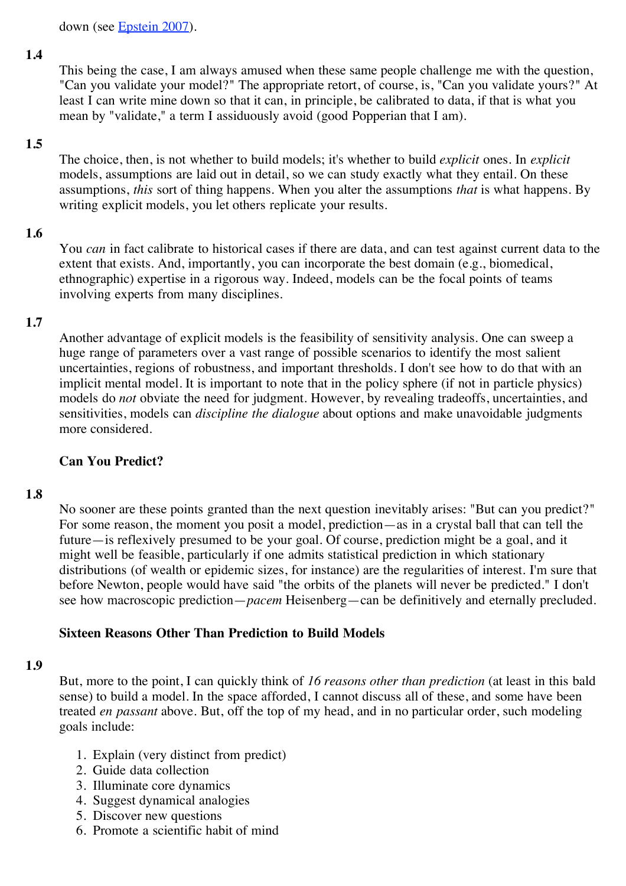down (see [Epstein 2007\)](http://jasss.soc.surrey.ac.uk/11/4/12.html#epstein2007).

#### **1.4**

This being the case, I am always amused when these same people challenge me with the question, "Can you validate your model?" The appropriate retort, of course, is, "Can you validate yours?" At least I can write mine down so that it can, in principle, be calibrated to data, if that is what you mean by "validate," a term I assiduously avoid (good Popperian that I am).

#### **1.5**

The choice, then, is not whether to build models; it's whether to build *explicit* ones. In *explicit* models, assumptions are laid out in detail, so we can study exactly what they entail. On these assumptions, *this* sort of thing happens. When you alter the assumptions *that* is what happens. By writing explicit models, you let others replicate your results.

## **1.6**

You *can* in fact calibrate to historical cases if there are data, and can test against current data to the extent that exists. And, importantly, you can incorporate the best domain (e.g., biomedical, ethnographic) expertise in a rigorous way. Indeed, models can be the focal points of teams involving experts from many disciplines.

## **1.7**

Another advantage of explicit models is the feasibility of sensitivity analysis. One can sweep a huge range of parameters over a vast range of possible scenarios to identify the most salient uncertainties, regions of robustness, and important thresholds. I don't see how to do that with an implicit mental model. It is important to note that in the policy sphere (if not in particle physics) models do *not* obviate the need for judgment. However, by revealing tradeoffs, uncertainties, and sensitivities, models can *discipline the dialogue* about options and make unavoidable judgments more considered.

#### **Can You Predict?**

#### **1.8**

No sooner are these points granted than the next question inevitably arises: "But can you predict?" For some reason, the moment you posit a model, prediction—as in a crystal ball that can tell the future—is reflexively presumed to be your goal. Of course, prediction might be a goal, and it might well be feasible, particularly if one admits statistical prediction in which stationary distributions (of wealth or epidemic sizes, for instance) are the regularities of interest. I'm sure that before Newton, people would have said "the orbits of the planets will never be predicted." I don't see how macroscopic prediction—*pacem* Heisenberg—can be definitively and eternally precluded.

#### **Sixteen Reasons Other Than Prediction to Build Models**

#### **1.9**

But, more to the point, I can quickly think of *16 reasons other than prediction* (at least in this bald sense) to build a model. In the space afforded, I cannot discuss all of these, and some have been treated *en passant* above. But, off the top of my head, and in no particular order, such modeling goals include:

- 1. Explain (very distinct from predict)
- 2. Guide data collection
- 3. Illuminate core dynamics
- 4. Suggest dynamical analogies
- 5. Discover new questions
- 6. Promote a scientific habit of mind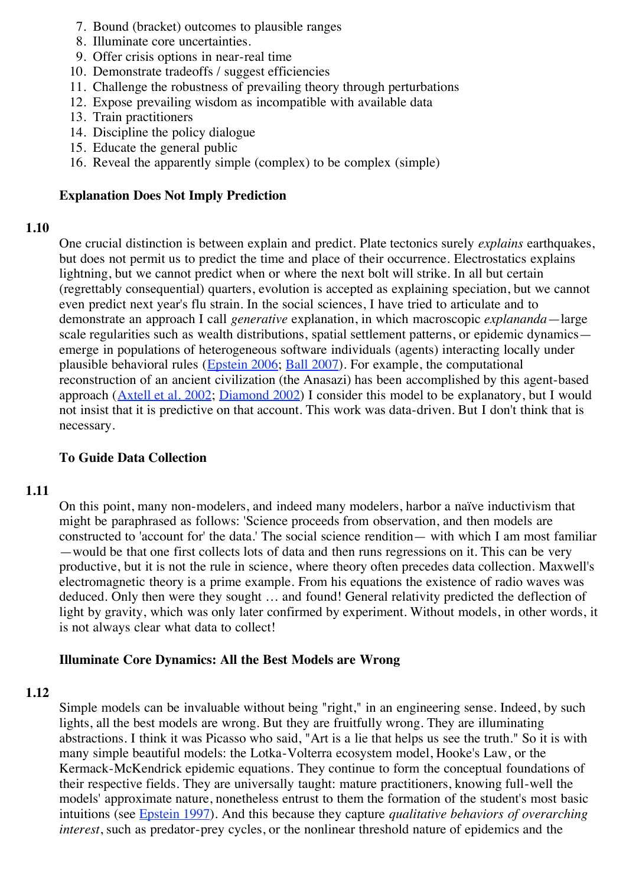- 7. Bound (bracket) outcomes to plausible ranges
- 8. Illuminate core uncertainties.
- 9. Offer crisis options in near-real time
- 10. Demonstrate tradeoffs / suggest efficiencies
- 11. Challenge the robustness of prevailing theory through perturbations
- 12. Expose prevailing wisdom as incompatible with available data
- 13. Train practitioners
- 14. Discipline the policy dialogue
- 15. Educate the general public
- 16. Reveal the apparently simple (complex) to be complex (simple)

## **Explanation Does Not Imply Prediction**

## **1.10**

One crucial distinction is between explain and predict. Plate tectonics surely *explains* earthquakes, but does not permit us to predict the time and place of their occurrence. Electrostatics explains lightning, but we cannot predict when or where the next bolt will strike. In all but certain (regrettably consequential) quarters, evolution is accepted as explaining speciation, but we cannot even predict next year's flu strain. In the social sciences, I have tried to articulate and to demonstrate an approach I call *generative* explanation, in which macroscopic *explananda*—large scale regularities such as wealth distributions, spatial settlement patterns, or epidemic dynamics emerge in populations of heterogeneous software individuals (agents) interacting locally under plausible behavioral rules ([Epstein 2006](http://jasss.soc.surrey.ac.uk/11/4/12.html#epstein2006); [Ball 2007\)](http://jasss.soc.surrey.ac.uk/11/4/12.html#ball2007). For example, the computational reconstruction of an ancient civilization (the Anasazi) has been accomplished by this agent-based approach ([Axtell et al. 2002](http://jasss.soc.surrey.ac.uk/11/4/12.html#axtell2002); [Diamond 2002](http://jasss.soc.surrey.ac.uk/11/4/12.html#diamond2002)) I consider this model to be explanatory, but I would not insist that it is predictive on that account. This work was data-driven. But I don't think that is necessary.

## **To Guide Data Collection**

## **1.11**

On this point, many non-modelers, and indeed many modelers, harbor a naïve inductivism that might be paraphrased as follows: 'Science proceeds from observation, and then models are constructed to 'account for' the data.' The social science rendition— with which I am most familiar —would be that one first collects lots of data and then runs regressions on it. This can be very productive, but it is not the rule in science, where theory often precedes data collection. Maxwell's electromagnetic theory is a prime example. From his equations the existence of radio waves was deduced. Only then were they sought … and found! General relativity predicted the deflection of light by gravity, which was only later confirmed by experiment. Without models, in other words, it is not always clear what data to collect!

## **Illuminate Core Dynamics: All the Best Models are Wrong**

## **1.12**

Simple models can be invaluable without being "right," in an engineering sense. Indeed, by such lights, all the best models are wrong. But they are fruitfully wrong. They are illuminating abstractions. I think it was Picasso who said, "Art is a lie that helps us see the truth." So it is with many simple beautiful models: the Lotka-Volterra ecosystem model, Hooke's Law, or the Kermack-McKendrick epidemic equations. They continue to form the conceptual foundations of their respective fields. They are universally taught: mature practitioners, knowing full-well the models' approximate nature, nonetheless entrust to them the formation of the student's most basic intuitions (see [Epstein 1997\)](http://jasss.soc.surrey.ac.uk/11/4/12.html#epstein1997). And this because they capture *qualitative behaviors of overarching interest*, such as predator-prey cycles, or the nonlinear threshold nature of epidemics and the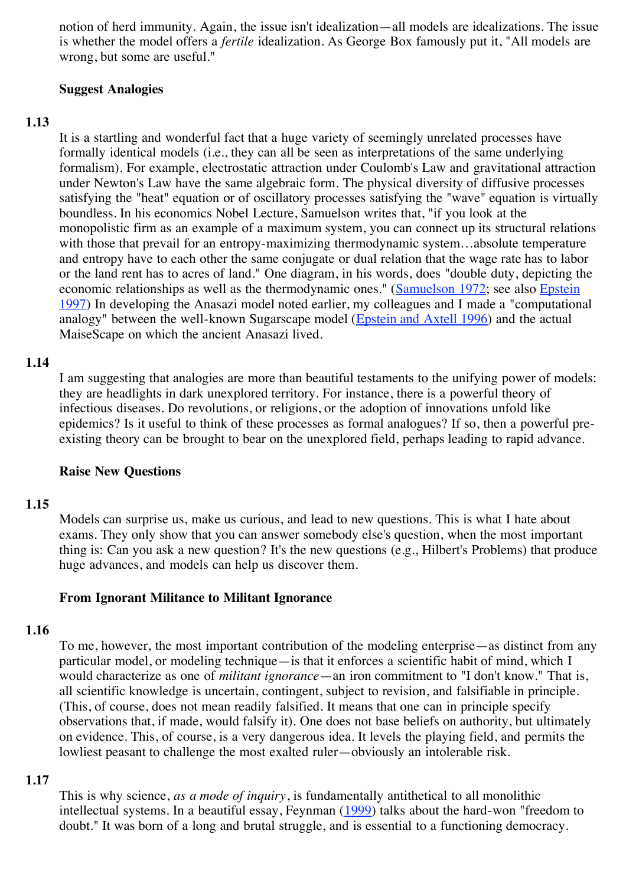notion of herd immunity. Again, the issue isn't idealization—all models are idealizations. The issue is whether the model offers a *fertile* idealization. As George Box famously put it, "All models are wrong, but some are useful."

## **Suggest Analogies**

## **1.13**

It is a startling and wonderful fact that a huge variety of seemingly unrelated processes have formally identical models (i.e., they can all be seen as interpretations of the same underlying formalism). For example, electrostatic attraction under Coulomb's Law and gravitational attraction under Newton's Law have the same algebraic form. The physical diversity of diffusive processes satisfying the "heat" equation or of oscillatory processes satisfying the "wave" equation is virtually boundless. In his economics Nobel Lecture, Samuelson writes that, "if you look at the monopolistic firm as an example of a maximum system, you can connect up its structural relations with those that prevail for an entropy-maximizing thermodynamic system...absolute temperature and entropy have to each other the same conjugate or dual relation that the wage rate has to labor or the land rent has to acres of land." One diagram, in his words, does "double duty, depicting the [economic relationships as well as the thermodynamic ones." \(Samuelson 1972; see also Epstein](http://jasss.soc.surrey.ac.uk/11/4/12.html#epstein1997) 1997) In developing the Anasazi model noted earlier, my colleagues and I made a "computational analogy" between the well-known Sugarscape model ([Epstein and Axtell 1996](http://jasss.soc.surrey.ac.uk/11/4/12.html#epstein1996)) and the actual MaiseScape on which the ancient Anasazi lived.

## **1.14**

I am suggesting that analogies are more than beautiful testaments to the unifying power of models: they are headlights in dark unexplored territory. For instance, there is a powerful theory of infectious diseases. Do revolutions, or religions, or the adoption of innovations unfold like epidemics? Is it useful to think of these processes as formal analogues? If so, then a powerful preexisting theory can be brought to bear on the unexplored field, perhaps leading to rapid advance.

#### **Raise New Questions**

## **1.15**

Models can surprise us, make us curious, and lead to new questions. This is what I hate about exams. They only show that you can answer somebody else's question, when the most important thing is: Can you ask a new question? It's the new questions (e.g., Hilbert's Problems) that produce huge advances, and models can help us discover them.

## **From Ignorant Militance to Militant Ignorance**

## **1.16**

To me, however, the most important contribution of the modeling enterprise—as distinct from any particular model, or modeling technique—is that it enforces a scientific habit of mind, which I would characterize as one of *militant ignorance*—an iron commitment to "I don't know." That is, all scientific knowledge is uncertain, contingent, subject to revision, and falsifiable in principle. (This, of course, does not mean readily falsified. It means that one can in principle specify observations that, if made, would falsify it). One does not base beliefs on authority, but ultimately on evidence. This, of course, is a very dangerous idea. It levels the playing field, and permits the lowliest peasant to challenge the most exalted ruler—obviously an intolerable risk.

## **1.17**

This is why science, *as a mode of inquiry*, is fundamentally antithetical to all monolithic intellectual systems. In a beautiful essay, Feynman ([1999](http://jasss.soc.surrey.ac.uk/11/4/12.html#feynman1999)) talks about the hard-won "freedom to doubt." It was born of a long and brutal struggle, and is essential to a functioning democracy.